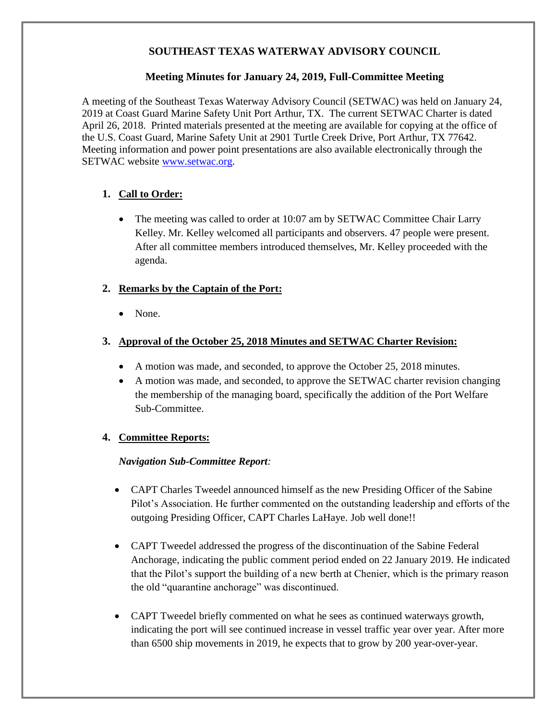### **SOUTHEAST TEXAS WATERWAY ADVISORY COUNCIL**

### **Meeting Minutes for January 24, 2019, Full-Committee Meeting**

A meeting of the Southeast Texas Waterway Advisory Council (SETWAC) was held on January 24, 2019 at Coast Guard Marine Safety Unit Port Arthur, TX. The current SETWAC Charter is dated April 26, 2018. Printed materials presented at the meeting are available for copying at the office of the U.S. Coast Guard, Marine Safety Unit at 2901 Turtle Creek Drive, Port Arthur, TX 77642. Meeting information and power point presentations are also available electronically through the SETWAC website [www.setwac.org.](http://www.setwac.org/)

# **1. Call to Order:**

• The meeting was called to order at 10:07 am by SETWAC Committee Chair Larry Kelley. Mr. Kelley welcomed all participants and observers. 47 people were present. After all committee members introduced themselves, Mr. Kelley proceeded with the agenda.

# **2. Remarks by the Captain of the Port:**

• None.

### **3. Approval of the October 25, 2018 Minutes and SETWAC Charter Revision:**

- A motion was made, and seconded, to approve the October 25, 2018 minutes.
- A motion was made, and seconded, to approve the SETWAC charter revision changing the membership of the managing board, specifically the addition of the Port Welfare Sub-Committee.

### **4. Committee Reports:**

### *Navigation Sub-Committee Report:*

- CAPT Charles Tweedel announced himself as the new Presiding Officer of the Sabine Pilot's Association. He further commented on the outstanding leadership and efforts of the outgoing Presiding Officer, CAPT Charles LaHaye. Job well done!!
- CAPT Tweedel addressed the progress of the discontinuation of the Sabine Federal Anchorage, indicating the public comment period ended on 22 January 2019. He indicated that the Pilot's support the building of a new berth at Chenier, which is the primary reason the old "quarantine anchorage" was discontinued.
- CAPT Tweedel briefly commented on what he sees as continued waterways growth, indicating the port will see continued increase in vessel traffic year over year. After more than 6500 ship movements in 2019, he expects that to grow by 200 year-over-year.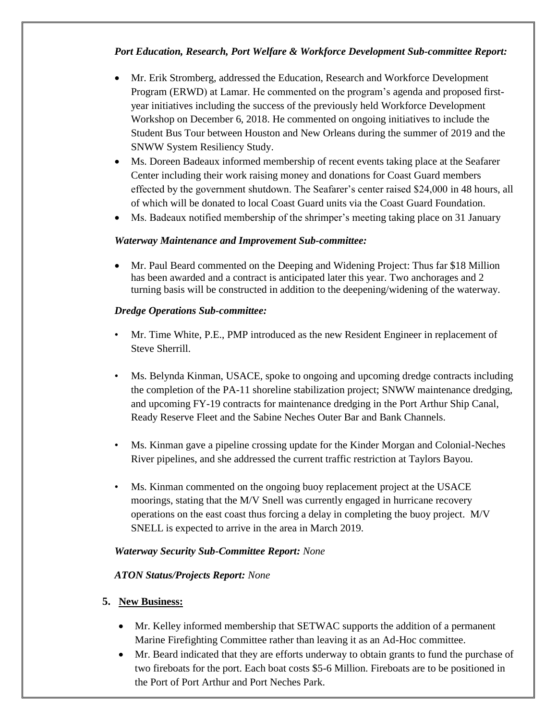# *Port Education, Research, Port Welfare & Workforce Development Sub-committee Report:*

- Mr. Erik Stromberg, addressed the Education, Research and Workforce Development Program (ERWD) at Lamar. He commented on the program's agenda and proposed firstyear initiatives including the success of the previously held Workforce Development Workshop on December 6, 2018. He commented on ongoing initiatives to include the Student Bus Tour between Houston and New Orleans during the summer of 2019 and the SNWW System Resiliency Study.
- Ms. Doreen Badeaux informed membership of recent events taking place at the Seafarer Center including their work raising money and donations for Coast Guard members effected by the government shutdown. The Seafarer's center raised \$24,000 in 48 hours, all of which will be donated to local Coast Guard units via the Coast Guard Foundation.
- Ms. Badeaux notified membership of the shrimper's meeting taking place on 31 January

#### *Waterway Maintenance and Improvement Sub-committee:*

• Mr. Paul Beard commented on the Deeping and Widening Project: Thus far \$18 Million has been awarded and a contract is anticipated later this year. Two anchorages and 2 turning basis will be constructed in addition to the deepening/widening of the waterway.

#### *Dredge Operations Sub-committee:*

- Mr. Time White, P.E., PMP introduced as the new Resident Engineer in replacement of Steve Sherrill.
- Ms. Belynda Kinman, USACE, spoke to ongoing and upcoming dredge contracts including the completion of the PA-11 shoreline stabilization project; SNWW maintenance dredging, and upcoming FY-19 contracts for maintenance dredging in the Port Arthur Ship Canal, Ready Reserve Fleet and the Sabine Neches Outer Bar and Bank Channels.
- Ms. Kinman gave a pipeline crossing update for the Kinder Morgan and Colonial-Neches River pipelines, and she addressed the current traffic restriction at Taylors Bayou.
- Ms. Kinman commented on the ongoing buoy replacement project at the USACE moorings, stating that the M/V Snell was currently engaged in hurricane recovery operations on the east coast thus forcing a delay in completing the buoy project. M/V SNELL is expected to arrive in the area in March 2019.

#### *Waterway Security Sub-Committee Report: None*

#### *ATON Status/Projects Report: None*

#### **5. New Business:**

- Mr. Kelley informed membership that SETWAC supports the addition of a permanent Marine Firefighting Committee rather than leaving it as an Ad-Hoc committee.
- Mr. Beard indicated that they are efforts underway to obtain grants to fund the purchase of two fireboats for the port. Each boat costs \$5-6 Million. Fireboats are to be positioned in the Port of Port Arthur and Port Neches Park.